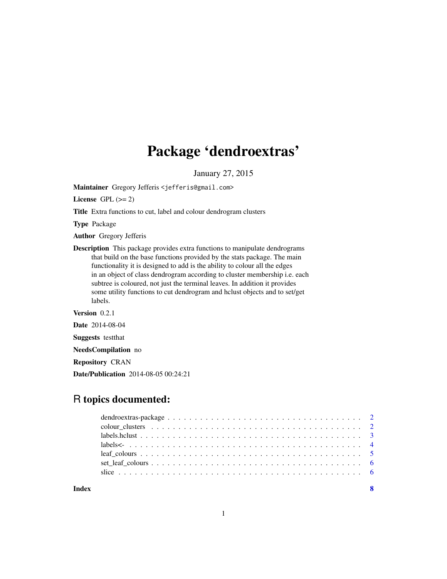## Package 'dendroextras'

January 27, 2015

<span id="page-0-0"></span>Maintainer Gregory Jefferis <jefferis@gmail.com>

License GPL  $(>= 2)$ 

Title Extra functions to cut, label and colour dendrogram clusters

Type Package

Author Gregory Jefferis

Description This package provides extra functions to manipulate dendrograms that build on the base functions provided by the stats package. The main functionality it is designed to add is the ability to colour all the edges in an object of class dendrogram according to cluster membership i.e. each subtree is coloured, not just the terminal leaves. In addition it provides some utility functions to cut dendrogram and hclust objects and to set/get labels.

Version 0.2.1

Date 2014-08-04

Suggests testthat

NeedsCompilation no

Repository CRAN

Date/Publication 2014-08-05 00:24:21

### R topics documented: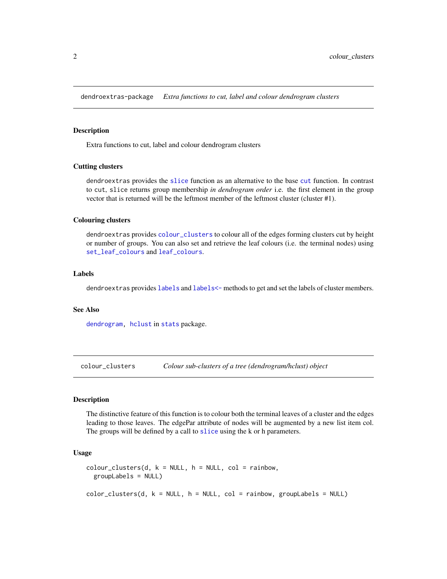<span id="page-1-0"></span>dendroextras-package *Extra functions to cut, label and colour dendrogram clusters*

#### **Description**

Extra functions to cut, label and colour dendrogram clusters

#### Cutting clusters

dendroextras provides the [slice](#page-5-1) function as an alternative to the base [cut](#page-0-0) function. In contrast to cut, slice returns group membership *in dendrogram order* i.e. the first element in the group vector that is returned will be the leftmost member of the leftmost cluster (cluster #1).

#### Colouring clusters

dendroextras provides [colour\\_clusters](#page-1-1) to colour all of the edges forming clusters cut by height or number of groups. You can also set and retrieve the leaf colours (i.e. the terminal nodes) using [set\\_leaf\\_colours](#page-5-2) and [leaf\\_colours](#page-4-1).

#### Labels

dendroextras provides [labels](#page-0-0) and [labels<-](#page-3-1) methods to get and set the labels of cluster members.

#### See Also

[dendrogram,](#page-0-0) [hclust](#page-0-0) in [stats](#page-0-0) package.

<span id="page-1-1"></span>colour\_clusters *Colour sub-clusters of a tree (dendrogram/hclust) object*

#### Description

The distinctive feature of this function is to colour both the terminal leaves of a cluster and the edges leading to those leaves. The edgePar attribute of nodes will be augmented by a new list item col. The groups will be defined by a call to [slice](#page-5-1) using the k or h parameters.

#### Usage

```
color\_clusters(d, k = NULL, h = NULL, col = rainbow,groupLabels = NULL)
color_{\angle}clusters(d, k = NULL, h = NULL, col = rainbow, groupLabels = NULL)
```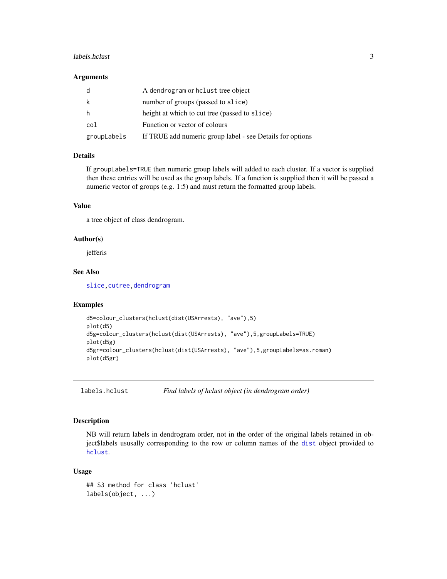#### <span id="page-2-0"></span>labels.hclust 3

#### **Arguments**

| d           | A dendrogram or holust tree object                        |
|-------------|-----------------------------------------------------------|
| k           | number of groups (passed to slice)                        |
| h           | height at which to cut tree (passed to slice)             |
| col         | Function or vector of colours                             |
| groupLabels | If TRUE add numeric group label - see Details for options |

#### Details

If groupLabels=TRUE then numeric group labels will added to each cluster. If a vector is supplied then these entries will be used as the group labels. If a function is supplied then it will be passed a numeric vector of groups (e.g. 1:5) and must return the formatted group labels.

#### Value

a tree object of class dendrogram.

#### Author(s)

jefferis

#### See Also

[slice](#page-5-1), cutree, dendrogram

#### Examples

```
d5=colour_clusters(hclust(dist(USArrests), "ave"),5)
plot(d5)
d5g=colour_clusters(hclust(dist(USArrests), "ave"),5,groupLabels=TRUE)
plot(d5g)
d5gr=colour_clusters(hclust(dist(USArrests), "ave"),5,groupLabels=as.roman)
plot(d5gr)
```
labels.hclust *Find labels of hclust object (in dendrogram order)*

#### Description

NB will return labels in dendrogram order, not in the order of the original labels retained in object\$labels ususally corresponding to the row or column names of the [dist](#page-0-0) object provided to [hclust](#page-0-0).

#### Usage

```
## S3 method for class 'hclust'
labels(object, ...)
```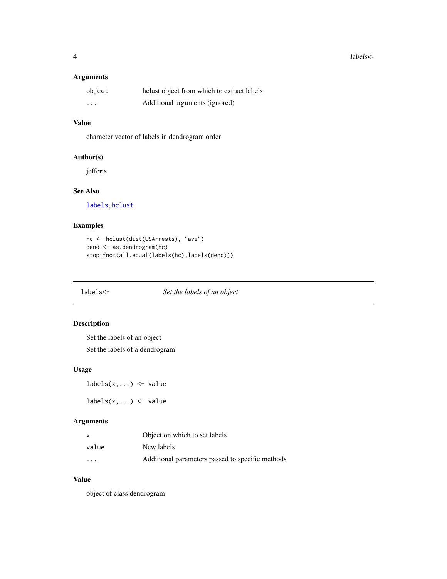<span id="page-3-0"></span>4 labels <-

#### Arguments

| object   | helust object from which to extract labels |
|----------|--------------------------------------------|
| $\cdots$ | Additional arguments (ignored)             |

#### Value

character vector of labels in dendrogram order

#### Author(s)

jefferis

#### See Also

[labels,hclust](#page-0-0)

#### Examples

```
hc <- hclust(dist(USArrests), "ave")
dend <- as.dendrogram(hc)
stopifnot(all.equal(labels(hc),labels(dend)))
```
<span id="page-3-1"></span>labels<- *Set the labels of an object*

#### Description

Set the labels of an object Set the labels of a dendrogram

#### Usage

 $labels(x,...) \leftarrow value$ 

 $labels(x,...) \leftarrow value$ 

#### Arguments

| x                       | Object on which to set labels                    |
|-------------------------|--------------------------------------------------|
| value                   | New labels                                       |
| $\cdot$ $\cdot$ $\cdot$ | Additional parameters passed to specific methods |

#### Value

object of class dendrogram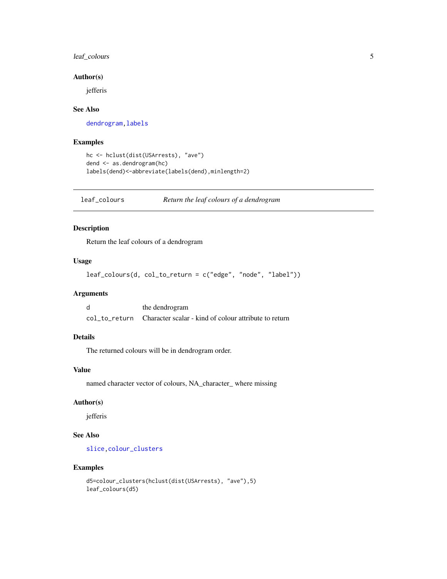#### <span id="page-4-0"></span>leaf\_colours 5

#### Author(s)

jefferis

#### See Also

dendrogram, labels

#### Examples

```
hc <- hclust(dist(USArrests), "ave")
dend <- as.dendrogram(hc)
labels(dend)<-abbreviate(labels(dend),minlength=2)
```
<span id="page-4-1"></span>leaf\_colours *Return the leaf colours of a dendrogram*

#### Description

Return the leaf colours of a dendrogram

#### Usage

```
leaf_colours(d, col_to_return = c("edge", "node", "label"))
```
#### Arguments

| d | the dendrogram                                                      |
|---|---------------------------------------------------------------------|
|   | col to return Character scalar - kind of colour attribute to return |

#### Details

The returned colours will be in dendrogram order.

#### Value

named character vector of colours, NA\_character\_ where missing

#### Author(s)

jefferis

#### See Also

[slice](#page-5-1)[,colour\\_clusters](#page-1-1)

#### Examples

```
d5=colour_clusters(hclust(dist(USArrests), "ave"),5)
leaf_colours(d5)
```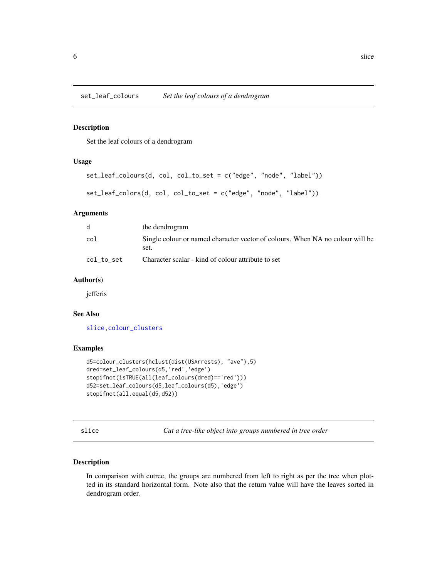<span id="page-5-2"></span><span id="page-5-0"></span>set\_leaf\_colours *Set the leaf colours of a dendrogram*

#### Description

Set the leaf colours of a dendrogram

#### Usage

```
set_leaf_colours(d, col, col_to_set = c("edge", "node", "label"))
```

```
set_leaf_colors(d, col, col_to_set = c("edge", "node", "label"))
```
#### Arguments

| <sub>d</sub> | the dendrogram                                                                        |
|--------------|---------------------------------------------------------------------------------------|
| col          | Single colour or named character vector of colours. When NA no colour will be<br>set. |
| col_to_set   | Character scalar - kind of colour attribute to set                                    |

#### Author(s)

jefferis

#### See Also

[slice](#page-5-1)[,colour\\_clusters](#page-1-1)

#### Examples

```
d5=colour_clusters(hclust(dist(USArrests), "ave"),5)
dred=set_leaf_colours(d5,'red','edge')
stopifnot(isTRUE(all(leaf_colours(dred)=='red')))
d52=set_leaf_colours(d5,leaf_colours(d5),'edge')
stopifnot(all.equal(d5,d52))
```
<span id="page-5-1"></span>slice *Cut a tree-like object into groups numbered in tree order*

#### Description

In comparison with cutree, the groups are numbered from left to right as per the tree when plotted in its standard horizontal form. Note also that the return value will have the leaves sorted in dendrogram order.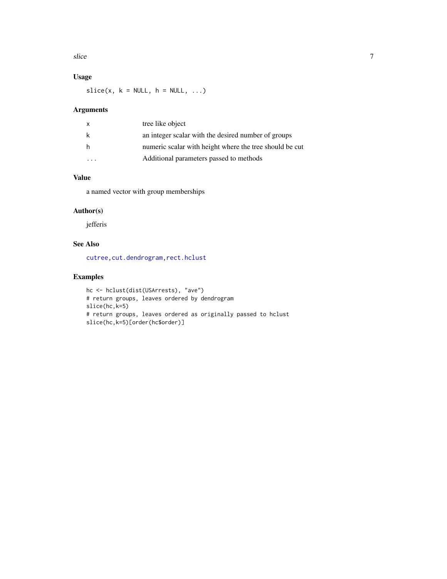<span id="page-6-0"></span>slice 7 and 7 and 7 and 7 and 7 and 7 and 7 and 7 and 7 and 7 and 7 and 7 and 7 and 7 and 7 and 7 and 7 and 7 and 7 and 7 and 7 and 7 and 7 and 7 and 7 and 7 and 7 and 7 and 7 and 7 and 7 and 7 and 7 and 7 and 7 and 7 and

#### Usage

 $slice(x, k = NULL, h = NULL, ...)$ 

#### Arguments

| X | tree like object                                        |
|---|---------------------------------------------------------|
| k | an integer scalar with the desired number of groups     |
| h | numeric scalar with height where the tree should be cut |
|   | Additional parameters passed to methods                 |

#### Value

a named vector with group memberships

#### Author(s)

jefferis

#### See Also

[cutree,cut.dendrogram,rect.hclust](#page-0-0)

#### Examples

```
hc <- hclust(dist(USArrests), "ave")
# return groups, leaves ordered by dendrogram
slice(hc,k=5)
# return groups, leaves ordered as originally passed to hclust
slice(hc,k=5)[order(hc$order)]
```